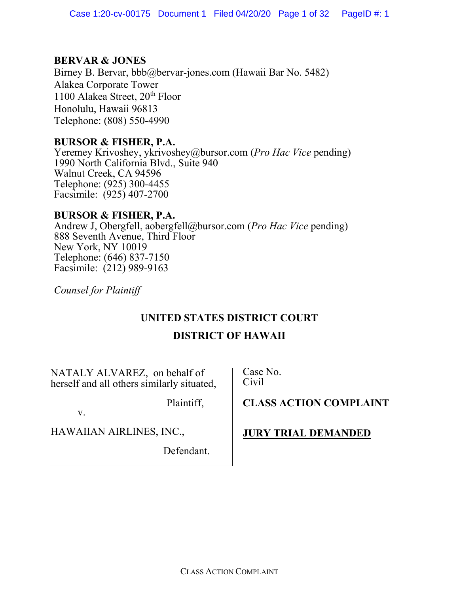# **BERVAR & JONES**

Birney B. Bervar, bbb@bervar-jones.com (Hawaii Bar No. 5482) Alakea Corporate Tower 1100 Alakea Street,  $20<sup>th</sup>$  Floor Honolulu, Hawaii 96813 Telephone: (808) 550-4990

# **BURSOR & FISHER, P.A.**

Yeremey Krivoshey, ykrivoshey@bursor.com (*Pro Hac Vice* pending) 1990 North California Blvd., Suite 940 Walnut Creek, CA 94596 Telephone: (925) 300-4455 Facsimile: (925) 407-2700

# **BURSOR & FISHER, P.A.**

Andrew J, Obergfell, aobergfell@bursor.com (*Pro Hac Vice* pending) 888 Seventh Avenue, Third Floor New York, NY 10019 Telephone: (646) 837-7150 Facsimile: (212) 989-9163

*Counsel for Plaintiff*

# **UNITED STATES DISTRICT COURT**

# **DISTRICT OF HAWAII**

NATALY ALVAREZ, on behalf of herself and all others similarly situated,

Plaintiff, v.

HAWAIIAN AIRLINES, INC.,

Defendant.

Case No. Civil

**CLASS ACTION COMPLAINT**

# **JURY TRIAL DEMANDED**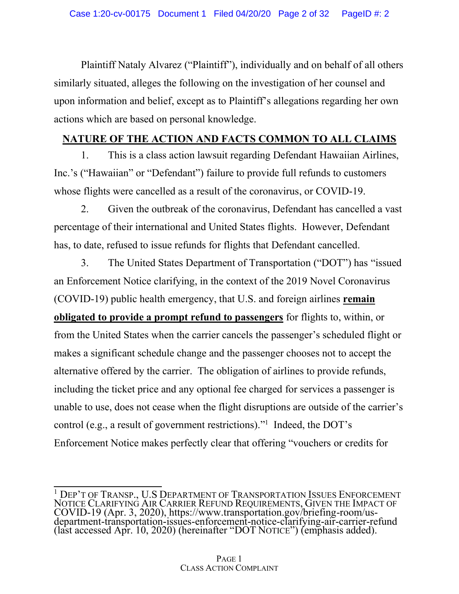Plaintiff Nataly Alvarez ("Plaintiff"), individually and on behalf of all others similarly situated, alleges the following on the investigation of her counsel and upon information and belief, except as to Plaintiff's allegations regarding her own actions which are based on personal knowledge.

# **NATURE OF THE ACTION AND FACTS COMMON TO ALL CLAIMS**

1. This is a class action lawsuit regarding Defendant Hawaiian Airlines, Inc.'s ("Hawaiian" or "Defendant") failure to provide full refunds to customers whose flights were cancelled as a result of the coronavirus, or COVID-19.

2. Given the outbreak of the coronavirus, Defendant has cancelled a vast percentage of their international and United States flights. However, Defendant has, to date, refused to issue refunds for flights that Defendant cancelled.

3. The United States Department of Transportation ("DOT") has "issued an Enforcement Notice clarifying, in the context of the 2019 Novel Coronavirus (COVID-19) public health emergency, that U.S. and foreign airlines **remain obligated to provide a prompt refund to passengers** for flights to, within, or from the United States when the carrier cancels the passenger's scheduled flight or makes a significant schedule change and the passenger chooses not to accept the alternative offered by the carrier. The obligation of airlines to provide refunds, including the ticket price and any optional fee charged for services a passenger is unable to use, does not cease when the flight disruptions are outside of the carrier's control (e.g., a result of government restrictions)."<sup>1</sup> Indeed, the DOT's Enforcement Notice makes perfectly clear that offering "vouchers or credits for

<sup>&</sup>lt;sup>1</sup> DEP'T OF TRANSP., U.S DEPARTMENT OF TRANSPORTATION ISSUES ENFORCEMENT NOTICE CLARIFYING AIR CARRIER REFUND REQUIREMENTS, GIVEN THE IMPACT OF COVID-19 (Apr. 3, 2020), https://www.transportation.gov/briefing-room/us- department-transportation-issues-enforcement-notice-clarifying-air-carrier-refund (last accessed Apr. 10, 2020) (hereinafter "DOT NOTICE") (emphasis added).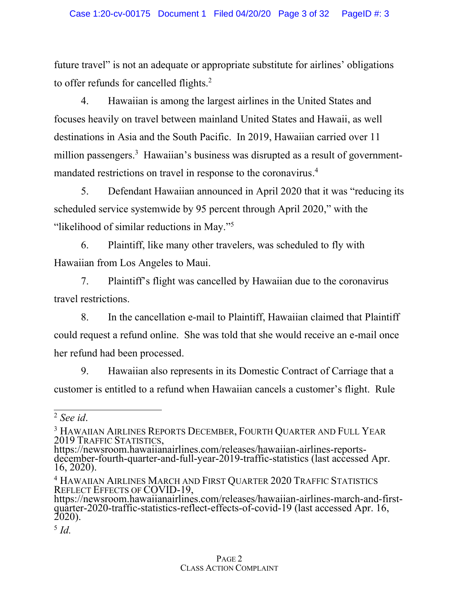future travel" is not an adequate or appropriate substitute for airlines' obligations to offer refunds for cancelled flights.<sup>2</sup>

4. Hawaiian is among the largest airlines in the United States and focuses heavily on travel between mainland United States and Hawaii, as well destinations in Asia and the South Pacific. In 2019, Hawaiian carried over 11 million passengers.<sup>3</sup> Hawaiian's business was disrupted as a result of governmentmandated restrictions on travel in response to the coronavirus. 4

5. Defendant Hawaiian announced in April 2020 that it was "reducing its scheduled service systemwide by 95 percent through April 2020," with the "likelihood of similar reductions in May."<sup>5</sup>

6. Plaintiff, like many other travelers, was scheduled to fly with Hawaiian from Los Angeles to Maui.

7. Plaintiff's flight was cancelled by Hawaiian due to the coronavirus travel restrictions.

8. In the cancellation e-mail to Plaintiff, Hawaiian claimed that Plaintiff could request a refund online. She was told that she would receive an e-mail once her refund had been processed.

9. Hawaiian also represents in its Domestic Contract of Carriage that a customer is entitled to a refund when Hawaiian cancels a customer's flight. Rule

<sup>2</sup> *See id*.

<sup>&</sup>lt;sup>3</sup> HAWAIIAN AIRLINES REPORTS DECEMBER, FOURTH QUARTER AND FULL YEAR

<sup>2019</sup> TRAFFIC STATISTICS,<br>https://newsroom.hawaiianairlines.com/releases/hawaiian-airlines-reports-<br>december-fourth-quarter-and-full-year-2019-traffic-statistics (last accessed Apr.<br>16, 2020).

<sup>4</sup> HAWAIIAN AIRLINES MARCH AND FIRST QUARTER 2020 TRAFFIC STATISTICS

REFLECTS OF COVID-19,<br>https://newsroom.hawaiianairlines.com/releases/hawaiian-airlines-march-and-first-<br>quarter-2020-traffic-statistics-reflect-effects-of-covid-19 (last accessed Apr. 16,<br>2020).

<sup>5</sup> *Id.*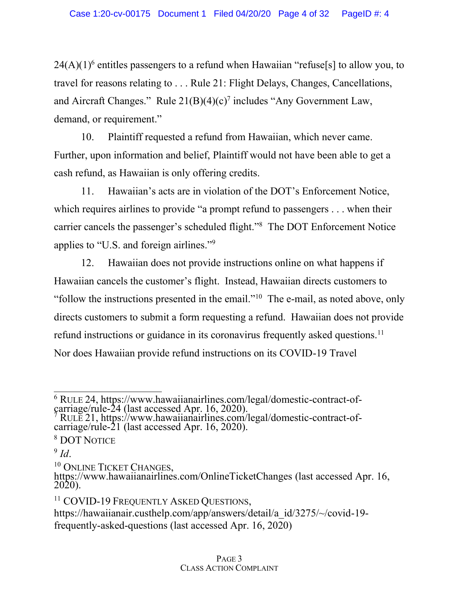$24(A)(1)^6$  entitles passengers to a refund when Hawaiian "refuse[s] to allow you, to travel for reasons relating to . . . Rule 21: Flight Delays, Changes, Cancellations, and Aircraft Changes." Rule  $21(B)(4)(c)^7$  includes "Any Government Law, demand, or requirement."

10. Plaintiff requested a refund from Hawaiian, which never came. Further, upon information and belief, Plaintiff would not have been able to get a cash refund, as Hawaiian is only offering credits.

11. Hawaiian's acts are in violation of the DOT's Enforcement Notice, which requires airlines to provide "a prompt refund to passengers . . . when their carrier cancels the passenger's scheduled flight."<sup>8</sup> The DOT Enforcement Notice applies to "U.S. and foreign airlines."<sup>9</sup>

12. Hawaiian does not provide instructions online on what happens if Hawaiian cancels the customer's flight. Instead, Hawaiian directs customers to "follow the instructions presented in the email."<sup>10</sup> The e-mail, as noted above, only directs customers to submit a form requesting a refund. Hawaiian does not provide refund instructions or guidance in its coronavirus frequently asked questions.<sup>11</sup> Nor does Hawaiian provide refund instructions on its COVID-19 Travel

- 
- <sup>8</sup> DOT NOTICE

 $\frac{6 \text{ RULE } 24, \text{ https://www.hawaiianairlines.com/legal/domestic-contract-of-carriage/rule-24 (last accessed Apr. 16, 2020).}$ <br>  $\frac{7 \text{ RULE } 21, \text{ https://www.hawaiianairlines.com/legal/domestic-contract-of-carriage/rule-21 (last accessed Apr. 16, 2020).}$ 

<sup>&</sup>lt;sup>9</sup> *Id.* 10 ONLINE TICKET CHANGES,<br><sup>10</sup> ONLINE TICKET CHANGES,<br>https://www.hawaiianairlines.com/OnlineTicketChanges (last accessed Apr. 16, 2020).

<sup>&</sup>lt;sup>11</sup> COVID-19 FREQUENTLY ASKED QUESTIONS,

https://hawaiianair.custhelp.com/app/answers/detail/a\_id/3275/~/covid-19frequently-asked-questions (last accessed Apr. 16, 2020)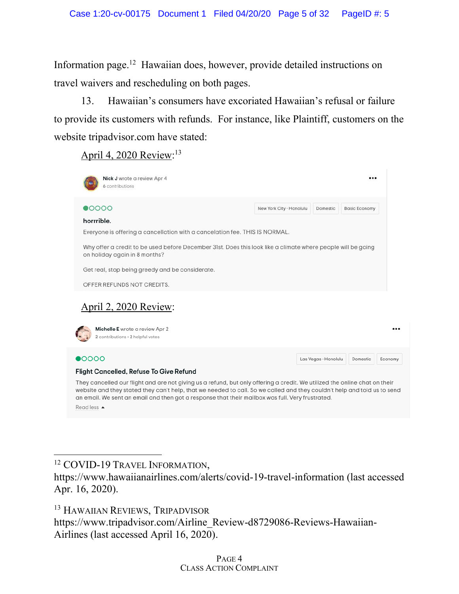Information page.12 Hawaiian does, however, provide detailed instructions on travel waivers and rescheduling on both pages.

13. Hawaiian's consumers have excoriated Hawaiian's refusal or failure to provide its customers with refunds. For instance, like Plaintiff, customers on the website tripadvisor.com have stated:

April 4, 2020 Review:<sup>13</sup>



They cancelled our flight and are not giving us a refund, but only offering a credit. We utilized the online chat on their website and they stated they can't help, that we needed to call. So we called and they couldn't help and told us to send an email. We sent an email and then got a response that their mailbox was full. Very frustrated. Read less ▲

https://www.tripadvisor.com/Airline\_Review-d8729086-Reviews-Hawaiian-Airlines (last accessed April 16, 2020).

<sup>&</sup>lt;sup>12</sup> COVID-19 TRAVEL INFORMATION,

https://www.hawaiianairlines.com/alerts/covid-19-travel-information (last accessed Apr. 16, 2020).

<sup>&</sup>lt;sup>13</sup> HAWAIIAN REVIEWS, TRIPADVISOR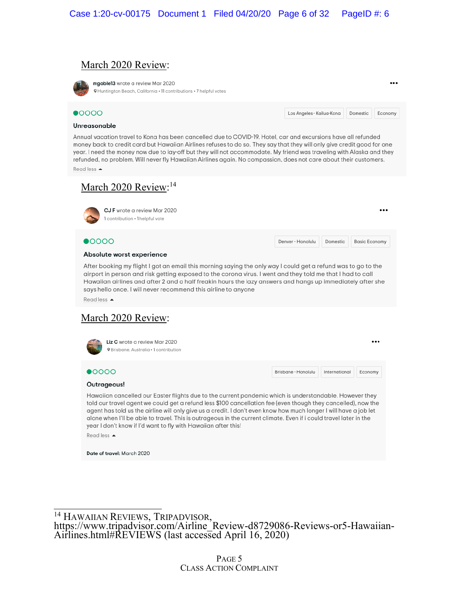## March 2020 Review:

mgoble13 wrote a review Mar 2020 @Huntington Beach, California . 11 contributions . 7 helpful votes

...

#### $\bullet$ 0000

Los Angeles - Kailua-Kona Domestic Economy

#### Unreasonable

Annual vacation travel to Kona has been cancelled due to COVID-19. Hotel, car and excursions have all refunded money back to credit card but Hawaiian Airlines refuses to do so. They say that they will only give credit good for one year. I need the money now due to lay-off but they will not accommodate. My friend was traveling with Alaska and they refunded, no problem. Will never fly Hawaiian Airlines again. No compassion, does not care about their customers. Read less ▲

March 2020 Review:<sup>14</sup> CJ F wrote a review Mar 2020 1 contribution . 1 helpful vote  $\bullet$ 0000 Denver - Honolulu Domestic **Basic Economy** Absolute worst experience After booking my flight I got an email this morning saying the only way I could get a refund was to go to the airport in person and risk getting exposed to the corona virus. I went and they told me that I had to call Hawaiian airlines and after 2 and a half freakin hours the lazy answers and hangs up immediately after she says hello once. I will never recommend this airline to anyone Read less ▲ March 2020 Review: Liz C wrote a review Mar 2020 ... **O** Brisbane, Australia . 1 contribution  $\bullet$ 0000 Brisbane - Honolulu International Economy Outrageous! Hawaiian cancelled our Easter flights due to the current pandemic which is understandable. However they told our travel agent we could get a refund less \$100 cancellation fee (even though they cancelled), now the agent has told us the airline will only give us a credit. I don't even know how much longer I will have a job let alone when I'll be able to travel. This is outrageous in the current climate. Even if i could travel later in the year I don't know if I'd want to fly with Hawaiian after this! Read less ▲ Date of travel: March 2020

<sup>14</sup> HAWAIIAN REVIEWS, TRIPADVISOR,<br>https://www.tripadvisor.com/Airline\_Review-d8729086-Reviews-or5-Hawaiian-<br>Airlines.html#REVIEWS (last accessed April 16, 2020)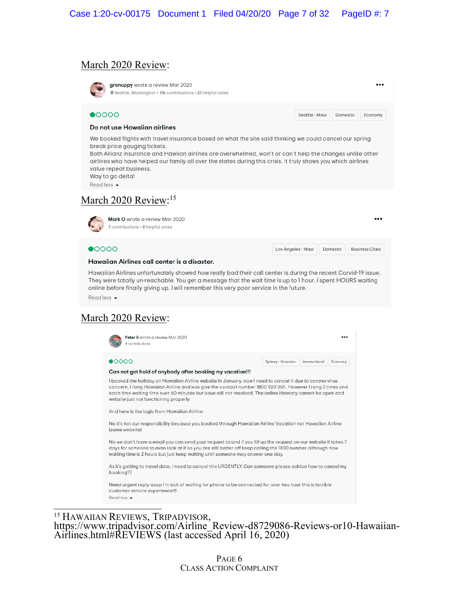### March 2020 Review:

granuppy wrote a review Mar 2020 ... @Seattle, Washington . 176 contributions . 21 helpful votes  $\bullet$ 0000 Seattle - Maui Domestic Economy Do not use Hawaiian airlines We booked flights with travel insurance based on what the site said thinking we could cancel our spring break price gauging tickets. Both Allianz insurance and Hawiian airlines are overwhelmed, won't or can't help the changes unlike other airlines who have helped our family all over the states during this crisis. It truly shows you which airlines value repeat business. Way to go delta! Read less ▲ March 2020 Review:<sup>15</sup> Mark O wrote a review Mar 2020 ... 7 contributions . 8 helpful votes  $\bullet$ 0000 Los Angeles - Maui Domestic **Business Class** 

#### Hawaiian Airlines call center is a disaster.

Hawaiian Airlines unfortunately showed how really bad their call center is during the recent Corvid-19 issue. They were totally un-reachable. You get a message that the wait time is up to 1 hour. I spent HOURS waiting online before finally giving up. I will remember this very poor service in the future. Read less ▲

## March 2020 Review:



<sup>15</sup> HAWAIIAN REVIEWS, TRIPADVISOR,<br>https://www.tripadvisor.com/Airline\_Review-d8729086-Reviews-or10-Hawaiian-<br>Airlines.html#REVIEWS (last accessed April 16, 2020)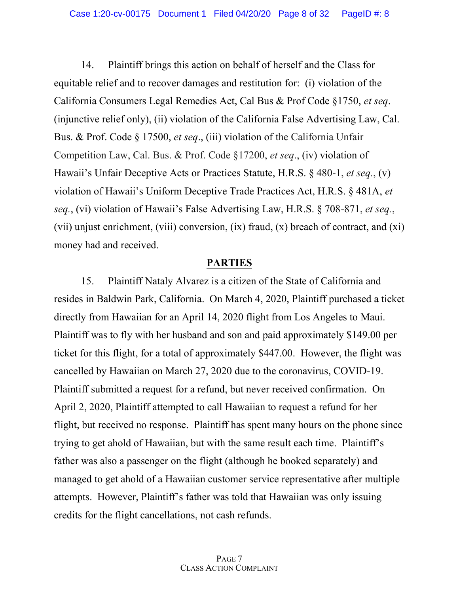14. Plaintiff brings this action on behalf of herself and the Class for equitable relief and to recover damages and restitution for: (i) violation of the California Consumers Legal Remedies Act, Cal Bus & Prof Code §1750, *et seq*. (injunctive relief only), (ii) violation of the California False Advertising Law, Cal. Bus. & Prof. Code § 17500, *et seq*., (iii) violation of the California Unfair Competition Law, Cal. Bus. & Prof. Code §17200, *et seq*., (iv) violation of Hawaii's Unfair Deceptive Acts or Practices Statute, H.R.S. § 480-1, *et seq.*, (v) violation of Hawaii's Uniform Deceptive Trade Practices Act, H.R.S. § 481A, *et seq.*, (vi) violation of Hawaii's False Advertising Law, H.R.S. § 708-871, *et seq.*, (vii) unjust enrichment, (viii) conversion, (ix) fraud, (x) breach of contract, and (xi) money had and received.

# **PARTIES**

15. Plaintiff Nataly Alvarez is a citizen of the State of California and resides in Baldwin Park, California. On March 4, 2020, Plaintiff purchased a ticket directly from Hawaiian for an April 14, 2020 flight from Los Angeles to Maui. Plaintiff was to fly with her husband and son and paid approximately \$149.00 per ticket for this flight, for a total of approximately \$447.00. However, the flight was cancelled by Hawaiian on March 27, 2020 due to the coronavirus, COVID-19. Plaintiff submitted a request for a refund, but never received confirmation. On April 2, 2020, Plaintiff attempted to call Hawaiian to request a refund for her flight, but received no response. Plaintiff has spent many hours on the phone since trying to get ahold of Hawaiian, but with the same result each time. Plaintiff's father was also a passenger on the flight (although he booked separately) and managed to get ahold of a Hawaiian customer service representative after multiple attempts. However, Plaintiff's father was told that Hawaiian was only issuing credits for the flight cancellations, not cash refunds.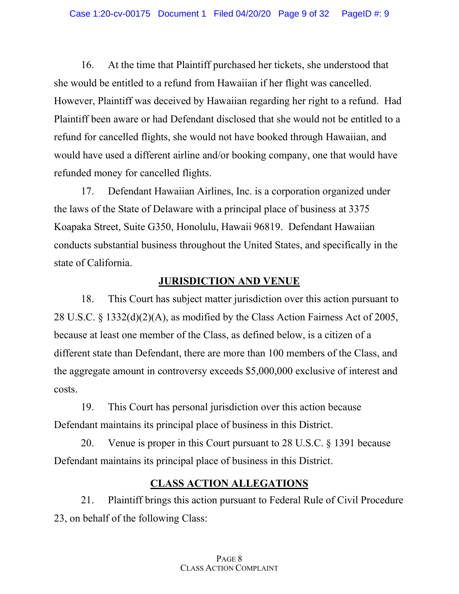16. At the time that Plaintiff purchased her tickets, she understood that she would be entitled to a refund from Hawaiian if her flight was cancelled. However, Plaintiff was deceived by Hawaiian regarding her right to a refund. Had Plaintiff been aware or had Defendant disclosed that she would not be entitled to a refund for cancelled flights, she would not have booked through Hawaiian, and would have used a different airline and/or booking company, one that would have refunded money for cancelled flights.

17. Defendant Hawaiian Airlines, Inc. is a corporation organized under the laws of the State of Delaware with a principal place of business at 3375 Koapaka Street, Suite G350, Honolulu, Hawaii 96819. Defendant Hawaiian conducts substantial business throughout the United States, and specifically in the state of California.

# **JURISDICTION AND VENUE**

18. This Court has subject matter jurisdiction over this action pursuant to 28 U.S.C. § 1332(d)(2)(A), as modified by the Class Action Fairness Act of 2005, because at least one member of the Class, as defined below, is a citizen of a different state than Defendant, there are more than 100 members of the Class, and the aggregate amount in controversy exceeds \$5,000,000 exclusive of interest and costs.

19. This Court has personal jurisdiction over this action because Defendant maintains its principal place of business in this District.

20. Venue is proper in this Court pursuant to 28 U.S.C. § 1391 because Defendant maintains its principal place of business in this District.

# **CLASS ACTION ALLEGATIONS**

21. Plaintiff brings this action pursuant to Federal Rule of Civil Procedure 23, on behalf of the following Class: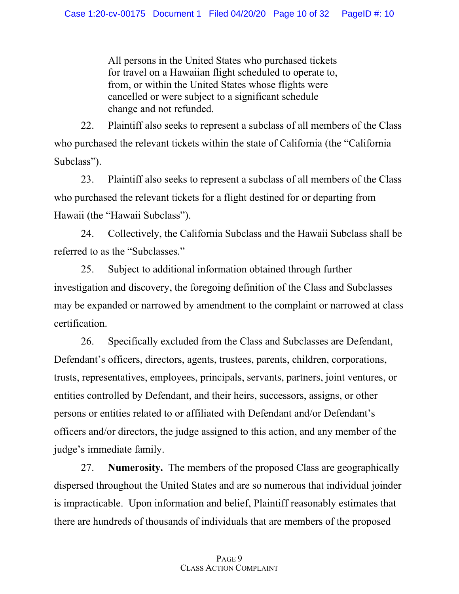All persons in the United States who purchased tickets for travel on a Hawaiian flight scheduled to operate to, from, or within the United States whose flights were cancelled or were subject to a significant schedule change and not refunded.

22. Plaintiff also seeks to represent a subclass of all members of the Class who purchased the relevant tickets within the state of California (the "California Subclass").

23. Plaintiff also seeks to represent a subclass of all members of the Class who purchased the relevant tickets for a flight destined for or departing from Hawaii (the "Hawaii Subclass").

24. Collectively, the California Subclass and the Hawaii Subclass shall be referred to as the "Subclasses."

25. Subject to additional information obtained through further investigation and discovery, the foregoing definition of the Class and Subclasses may be expanded or narrowed by amendment to the complaint or narrowed at class certification.

26. Specifically excluded from the Class and Subclasses are Defendant, Defendant's officers, directors, agents, trustees, parents, children, corporations, trusts, representatives, employees, principals, servants, partners, joint ventures, or entities controlled by Defendant, and their heirs, successors, assigns, or other persons or entities related to or affiliated with Defendant and/or Defendant's officers and/or directors, the judge assigned to this action, and any member of the judge's immediate family.

27. **Numerosity.** The members of the proposed Class are geographically dispersed throughout the United States and are so numerous that individual joinder is impracticable. Upon information and belief, Plaintiff reasonably estimates that there are hundreds of thousands of individuals that are members of the proposed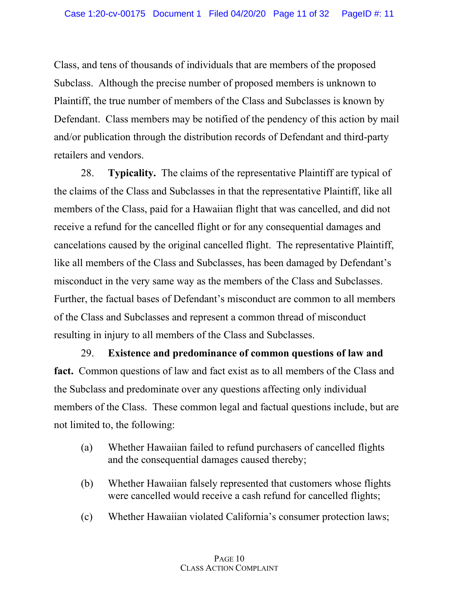Class, and tens of thousands of individuals that are members of the proposed Subclass. Although the precise number of proposed members is unknown to Plaintiff, the true number of members of the Class and Subclasses is known by Defendant. Class members may be notified of the pendency of this action by mail and/or publication through the distribution records of Defendant and third-party retailers and vendors.

28. **Typicality.** The claims of the representative Plaintiff are typical of the claims of the Class and Subclasses in that the representative Plaintiff, like all members of the Class, paid for a Hawaiian flight that was cancelled, and did not receive a refund for the cancelled flight or for any consequential damages and cancelations caused by the original cancelled flight. The representative Plaintiff, like all members of the Class and Subclasses, has been damaged by Defendant's misconduct in the very same way as the members of the Class and Subclasses. Further, the factual bases of Defendant's misconduct are common to all members of the Class and Subclasses and represent a common thread of misconduct resulting in injury to all members of the Class and Subclasses.

29. **Existence and predominance of common questions of law and fact.** Common questions of law and fact exist as to all members of the Class and the Subclass and predominate over any questions affecting only individual members of the Class. These common legal and factual questions include, but are not limited to, the following:

- (a) Whether Hawaiian failed to refund purchasers of cancelled flights and the consequential damages caused thereby;
- (b) Whether Hawaiian falsely represented that customers whose flights were cancelled would receive a cash refund for cancelled flights;
- (c) Whether Hawaiian violated California's consumer protection laws;

### PAGE 10 CLASS ACTION COMPLAINT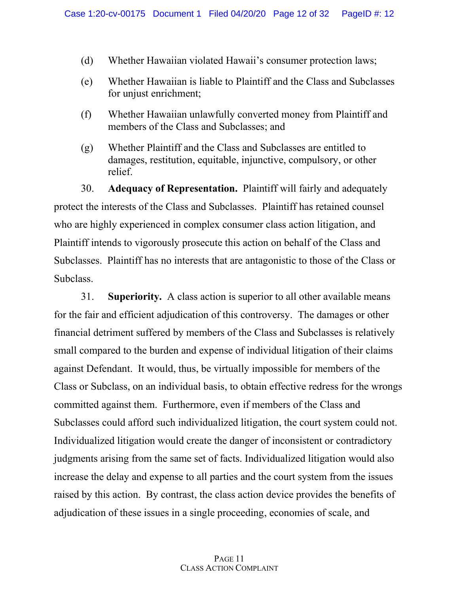- (d) Whether Hawaiian violated Hawaii's consumer protection laws;
- (e) Whether Hawaiian is liable to Plaintiff and the Class and Subclasses for unjust enrichment;
- (f) Whether Hawaiian unlawfully converted money from Plaintiff and members of the Class and Subclasses; and
- (g) Whether Plaintiff and the Class and Subclasses are entitled to damages, restitution, equitable, injunctive, compulsory, or other relief.

30. **Adequacy of Representation.** Plaintiff will fairly and adequately protect the interests of the Class and Subclasses. Plaintiff has retained counsel who are highly experienced in complex consumer class action litigation, and Plaintiff intends to vigorously prosecute this action on behalf of the Class and Subclasses. Plaintiff has no interests that are antagonistic to those of the Class or Subclass.

31. **Superiority.** A class action is superior to all other available means for the fair and efficient adjudication of this controversy. The damages or other financial detriment suffered by members of the Class and Subclasses is relatively small compared to the burden and expense of individual litigation of their claims against Defendant. It would, thus, be virtually impossible for members of the Class or Subclass, on an individual basis, to obtain effective redress for the wrongs committed against them. Furthermore, even if members of the Class and Subclasses could afford such individualized litigation, the court system could not. Individualized litigation would create the danger of inconsistent or contradictory judgments arising from the same set of facts. Individualized litigation would also increase the delay and expense to all parties and the court system from the issues raised by this action. By contrast, the class action device provides the benefits of adjudication of these issues in a single proceeding, economies of scale, and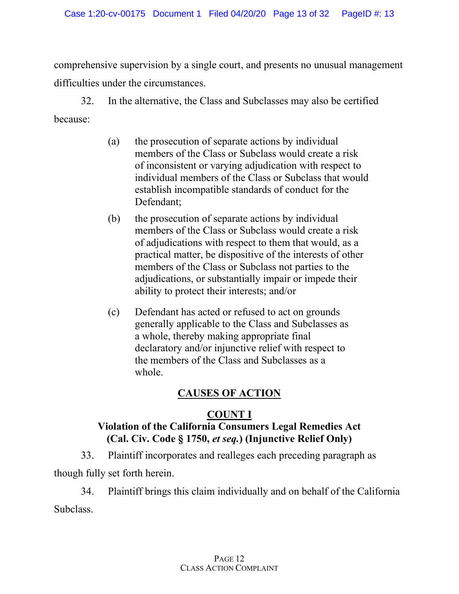comprehensive supervision by a single court, and presents no unusual management difficulties under the circumstances.

32. In the alternative, the Class and Subclasses may also be certified because:

- (a) the prosecution of separate actions by individual members of the Class or Subclass would create a risk of inconsistent or varying adjudication with respect to individual members of the Class or Subclass that would establish incompatible standards of conduct for the Defendant;
- (b) the prosecution of separate actions by individual members of the Class or Subclass would create a risk of adjudications with respect to them that would, as a practical matter, be dispositive of the interests of other members of the Class or Subclass not parties to the adjudications, or substantially impair or impede their ability to protect their interests; and/or
- (c) Defendant has acted or refused to act on grounds generally applicable to the Class and Subclasses as a whole, thereby making appropriate final declaratory and/or injunctive relief with respect to the members of the Class and Subclasses as a whole.

# **CAUSES OF ACTION**

# **COUNT I**

# **Violation of the California Consumers Legal Remedies Act (Cal. Civ. Code § 1750,** *et seq.***) (Injunctive Relief Only)**

33. Plaintiff incorporates and realleges each preceding paragraph as

though fully set forth herein.

34. Plaintiff brings this claim individually and on behalf of the California Subclass.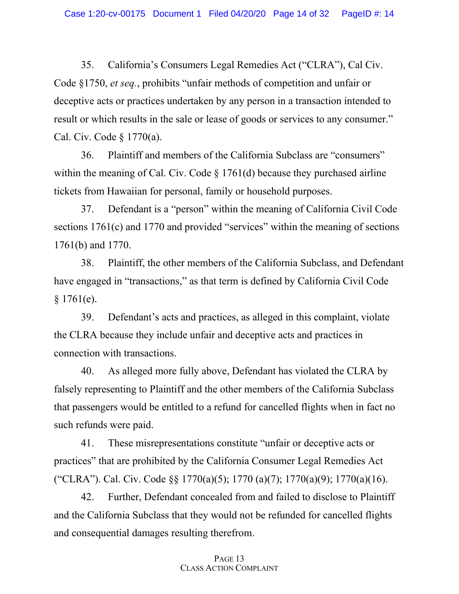35. California's Consumers Legal Remedies Act ("CLRA"), Cal Civ. Code §1750, *et seq.*, prohibits "unfair methods of competition and unfair or deceptive acts or practices undertaken by any person in a transaction intended to result or which results in the sale or lease of goods or services to any consumer." Cal. Civ. Code § 1770(a).

36. Plaintiff and members of the California Subclass are "consumers" within the meaning of Cal. Civ. Code § 1761(d) because they purchased airline tickets from Hawaiian for personal, family or household purposes.

37. Defendant is a "person" within the meaning of California Civil Code sections 1761(c) and 1770 and provided "services" within the meaning of sections 1761(b) and 1770.

38. Plaintiff, the other members of the California Subclass, and Defendant have engaged in "transactions," as that term is defined by California Civil Code § 1761(e).

39. Defendant's acts and practices, as alleged in this complaint, violate the CLRA because they include unfair and deceptive acts and practices in connection with transactions.

40. As alleged more fully above, Defendant has violated the CLRA by falsely representing to Plaintiff and the other members of the California Subclass that passengers would be entitled to a refund for cancelled flights when in fact no such refunds were paid.

41. These misrepresentations constitute "unfair or deceptive acts or practices" that are prohibited by the California Consumer Legal Remedies Act ("CLRA"). Cal. Civ. Code §§ 1770(a)(5); 1770 (a)(7); 1770(a)(9); 1770(a)(16).

42. Further, Defendant concealed from and failed to disclose to Plaintiff and the California Subclass that they would not be refunded for cancelled flights and consequential damages resulting therefrom.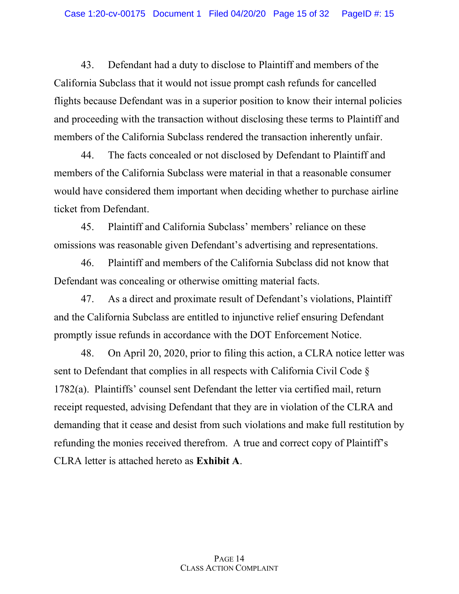43. Defendant had a duty to disclose to Plaintiff and members of the California Subclass that it would not issue prompt cash refunds for cancelled flights because Defendant was in a superior position to know their internal policies and proceeding with the transaction without disclosing these terms to Plaintiff and members of the California Subclass rendered the transaction inherently unfair.

44. The facts concealed or not disclosed by Defendant to Plaintiff and members of the California Subclass were material in that a reasonable consumer would have considered them important when deciding whether to purchase airline ticket from Defendant.

45. Plaintiff and California Subclass' members' reliance on these omissions was reasonable given Defendant's advertising and representations.

46. Plaintiff and members of the California Subclass did not know that Defendant was concealing or otherwise omitting material facts.

47. As a direct and proximate result of Defendant's violations, Plaintiff and the California Subclass are entitled to injunctive relief ensuring Defendant promptly issue refunds in accordance with the DOT Enforcement Notice.

48. On April 20, 2020, prior to filing this action, a CLRA notice letter was sent to Defendant that complies in all respects with California Civil Code § 1782(a). Plaintiffs' counsel sent Defendant the letter via certified mail, return receipt requested, advising Defendant that they are in violation of the CLRA and demanding that it cease and desist from such violations and make full restitution by refunding the monies received therefrom. A true and correct copy of Plaintiff's CLRA letter is attached hereto as **Exhibit A**.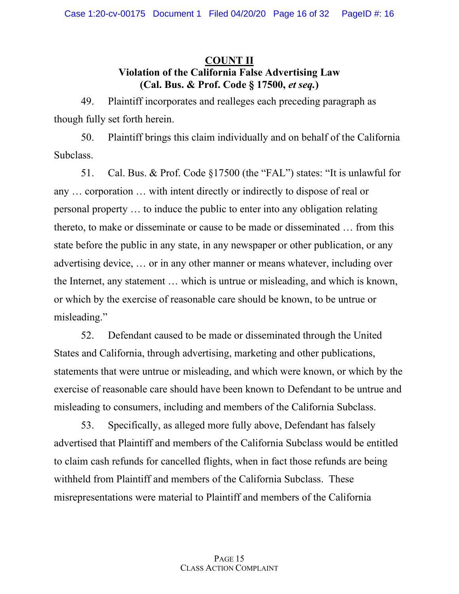# **COUNT II Violation of the California False Advertising Law (Cal. Bus. & Prof. Code § 17500,** *et seq.***)**

49. Plaintiff incorporates and realleges each preceding paragraph as though fully set forth herein.

50. Plaintiff brings this claim individually and on behalf of the California Subclass.

51. Cal. Bus. & Prof. Code §17500 (the "FAL") states: "It is unlawful for any … corporation … with intent directly or indirectly to dispose of real or personal property … to induce the public to enter into any obligation relating thereto, to make or disseminate or cause to be made or disseminated … from this state before the public in any state, in any newspaper or other publication, or any advertising device, … or in any other manner or means whatever, including over the Internet, any statement … which is untrue or misleading, and which is known, or which by the exercise of reasonable care should be known, to be untrue or misleading."

52. Defendant caused to be made or disseminated through the United States and California, through advertising, marketing and other publications, statements that were untrue or misleading, and which were known, or which by the exercise of reasonable care should have been known to Defendant to be untrue and misleading to consumers, including and members of the California Subclass.

53. Specifically, as alleged more fully above, Defendant has falsely advertised that Plaintiff and members of the California Subclass would be entitled to claim cash refunds for cancelled flights, when in fact those refunds are being withheld from Plaintiff and members of the California Subclass. These misrepresentations were material to Plaintiff and members of the California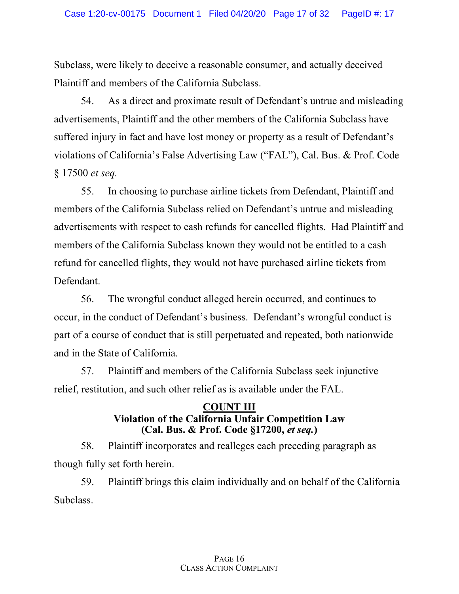Subclass, were likely to deceive a reasonable consumer, and actually deceived Plaintiff and members of the California Subclass.

54. As a direct and proximate result of Defendant's untrue and misleading advertisements, Plaintiff and the other members of the California Subclass have suffered injury in fact and have lost money or property as a result of Defendant's violations of California's False Advertising Law ("FAL"), Cal. Bus. & Prof. Code § 17500 *et seq.*

55. In choosing to purchase airline tickets from Defendant, Plaintiff and members of the California Subclass relied on Defendant's untrue and misleading advertisements with respect to cash refunds for cancelled flights. Had Plaintiff and members of the California Subclass known they would not be entitled to a cash refund for cancelled flights, they would not have purchased airline tickets from Defendant.

56. The wrongful conduct alleged herein occurred, and continues to occur, in the conduct of Defendant's business. Defendant's wrongful conduct is part of a course of conduct that is still perpetuated and repeated, both nationwide and in the State of California.

57. Plaintiff and members of the California Subclass seek injunctive relief, restitution, and such other relief as is available under the FAL.

# **COUNT III Violation of the California Unfair Competition Law (Cal. Bus. & Prof. Code §17200,** *et seq.***)**

58. Plaintiff incorporates and realleges each preceding paragraph as though fully set forth herein.

59. Plaintiff brings this claim individually and on behalf of the California Subclass.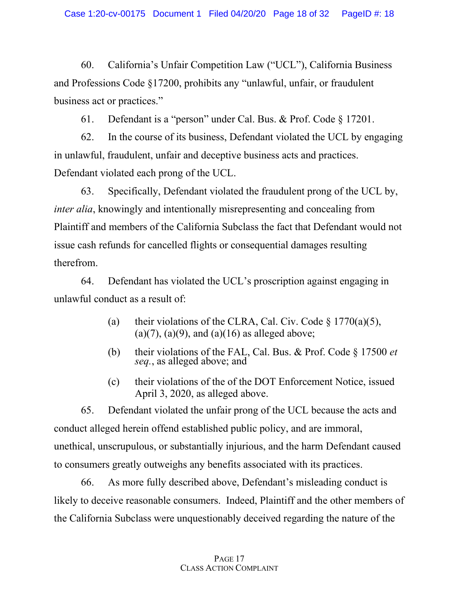60. California's Unfair Competition Law ("UCL"), California Business and Professions Code §17200, prohibits any "unlawful, unfair, or fraudulent business act or practices."

61. Defendant is a "person" under Cal. Bus. & Prof. Code § 17201.

62. In the course of its business, Defendant violated the UCL by engaging in unlawful, fraudulent, unfair and deceptive business acts and practices. Defendant violated each prong of the UCL.

63. Specifically, Defendant violated the fraudulent prong of the UCL by, *inter alia*, knowingly and intentionally misrepresenting and concealing from Plaintiff and members of the California Subclass the fact that Defendant would not issue cash refunds for cancelled flights or consequential damages resulting therefrom.

64. Defendant has violated the UCL's proscription against engaging in unlawful conduct as a result of:

- (a) their violations of the CLRA, Cal. Civ. Code  $\S 1770(a)(5)$ ,  $(a)(7)$ ,  $(a)(9)$ , and  $(a)(16)$  as alleged above;
- (b) their violations of the FAL, Cal. Bus. & Prof. Code § 17500 *et seq.*, as alleged above; and
- (c) their violations of the of the DOT Enforcement Notice, issued April 3, 2020, as alleged above.

65. Defendant violated the unfair prong of the UCL because the acts and conduct alleged herein offend established public policy, and are immoral, unethical, unscrupulous, or substantially injurious, and the harm Defendant caused to consumers greatly outweighs any benefits associated with its practices.

66. As more fully described above, Defendant's misleading conduct is likely to deceive reasonable consumers. Indeed, Plaintiff and the other members of the California Subclass were unquestionably deceived regarding the nature of the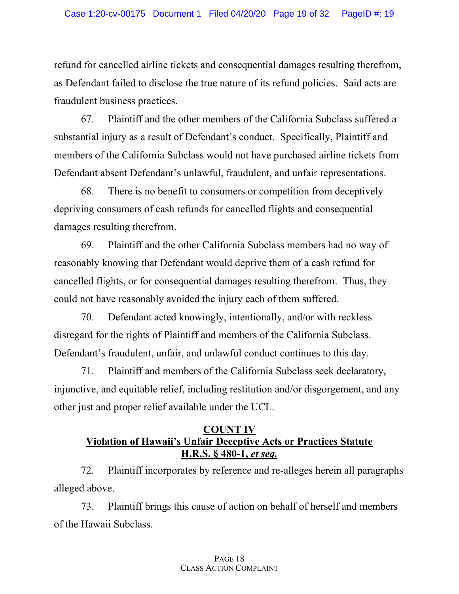refund for cancelled airline tickets and consequential damages resulting therefrom, as Defendant failed to disclose the true nature of its refund policies. Said acts are fraudulent business practices.

67. Plaintiff and the other members of the California Subclass suffered a substantial injury as a result of Defendant's conduct. Specifically, Plaintiff and members of the California Subclass would not have purchased airline tickets from Defendant absent Defendant's unlawful, fraudulent, and unfair representations.

68. There is no benefit to consumers or competition from deceptively depriving consumers of cash refunds for cancelled flights and consequential damages resulting therefrom.

69. Plaintiff and the other California Subclass members had no way of reasonably knowing that Defendant would deprive them of a cash refund for cancelled flights, or for consequential damages resulting therefrom. Thus, they could not have reasonably avoided the injury each of them suffered.

70. Defendant acted knowingly, intentionally, and/or with reckless disregard for the rights of Plaintiff and members of the California Subclass. Defendant's fraudulent, unfair, and unlawful conduct continues to this day.

71. Plaintiff and members of the California Subclass seek declaratory, injunctive, and equitable relief, including restitution and/or disgorgement, and any other just and proper relief available under the UCL.

# **COUNT IV Violation of Hawaii's Unfair Deceptive Acts or Practices Statute H.R.S. § 480-1,** *et seq.*

72. Plaintiff incorporates by reference and re-alleges herein all paragraphs alleged above.

73. Plaintiff brings this cause of action on behalf of herself and members of the Hawaii Subclass.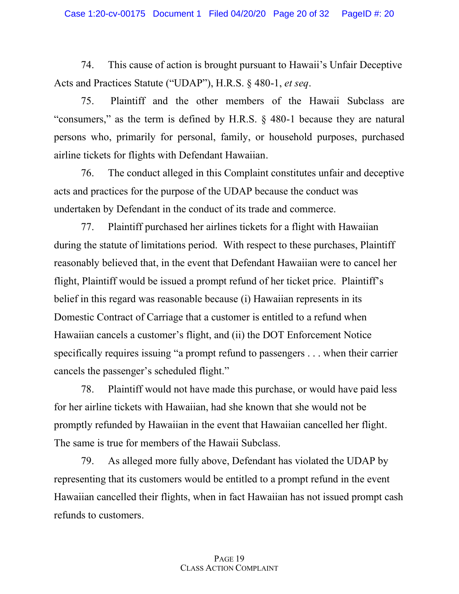74. This cause of action is brought pursuant to Hawaii's Unfair Deceptive Acts and Practices Statute ("UDAP"), H.R.S. § 480-1, *et seq*.

75. Plaintiff and the other members of the Hawaii Subclass are "consumers," as the term is defined by H.R.S. § 480-1 because they are natural persons who, primarily for personal, family, or household purposes, purchased airline tickets for flights with Defendant Hawaiian.

76. The conduct alleged in this Complaint constitutes unfair and deceptive acts and practices for the purpose of the UDAP because the conduct was undertaken by Defendant in the conduct of its trade and commerce.

77. Plaintiff purchased her airlines tickets for a flight with Hawaiian during the statute of limitations period. With respect to these purchases, Plaintiff reasonably believed that, in the event that Defendant Hawaiian were to cancel her flight, Plaintiff would be issued a prompt refund of her ticket price. Plaintiff's belief in this regard was reasonable because (i) Hawaiian represents in its Domestic Contract of Carriage that a customer is entitled to a refund when Hawaiian cancels a customer's flight, and (ii) the DOT Enforcement Notice specifically requires issuing "a prompt refund to passengers . . . when their carrier cancels the passenger's scheduled flight."

78. Plaintiff would not have made this purchase, or would have paid less for her airline tickets with Hawaiian, had she known that she would not be promptly refunded by Hawaiian in the event that Hawaiian cancelled her flight. The same is true for members of the Hawaii Subclass.

79. As alleged more fully above, Defendant has violated the UDAP by representing that its customers would be entitled to a prompt refund in the event Hawaiian cancelled their flights, when in fact Hawaiian has not issued prompt cash refunds to customers.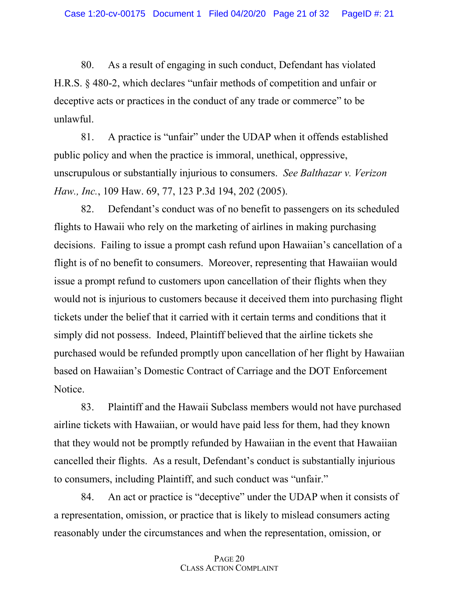80. As a result of engaging in such conduct, Defendant has violated H.R.S. § 480-2, which declares "unfair methods of competition and unfair or deceptive acts or practices in the conduct of any trade or commerce" to be unlawful.

81. A practice is "unfair" under the UDAP when it offends established public policy and when the practice is immoral, unethical, oppressive, unscrupulous or substantially injurious to consumers. *See Balthazar v. Verizon Haw., Inc.*, 109 Haw. 69, 77, 123 P.3d 194, 202 (2005).

82. Defendant's conduct was of no benefit to passengers on its scheduled flights to Hawaii who rely on the marketing of airlines in making purchasing decisions. Failing to issue a prompt cash refund upon Hawaiian's cancellation of a flight is of no benefit to consumers. Moreover, representing that Hawaiian would issue a prompt refund to customers upon cancellation of their flights when they would not is injurious to customers because it deceived them into purchasing flight tickets under the belief that it carried with it certain terms and conditions that it simply did not possess. Indeed, Plaintiff believed that the airline tickets she purchased would be refunded promptly upon cancellation of her flight by Hawaiian based on Hawaiian's Domestic Contract of Carriage and the DOT Enforcement Notice.

83. Plaintiff and the Hawaii Subclass members would not have purchased airline tickets with Hawaiian, or would have paid less for them, had they known that they would not be promptly refunded by Hawaiian in the event that Hawaiian cancelled their flights. As a result, Defendant's conduct is substantially injurious to consumers, including Plaintiff, and such conduct was "unfair."

84. An act or practice is "deceptive" under the UDAP when it consists of a representation, omission, or practice that is likely to mislead consumers acting reasonably under the circumstances and when the representation, omission, or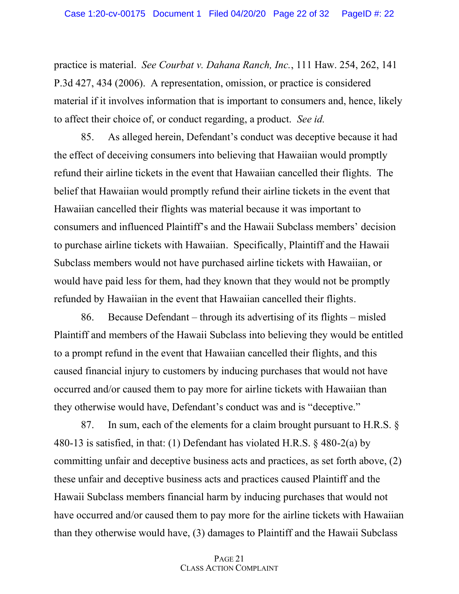practice is material. *See Courbat v. Dahana Ranch, Inc.*, 111 Haw. 254, 262, 141 P.3d 427, 434 (2006). A representation, omission, or practice is considered material if it involves information that is important to consumers and, hence, likely to affect their choice of, or conduct regarding, a product. *See id.* 

85. As alleged herein, Defendant's conduct was deceptive because it had the effect of deceiving consumers into believing that Hawaiian would promptly refund their airline tickets in the event that Hawaiian cancelled their flights. The belief that Hawaiian would promptly refund their airline tickets in the event that Hawaiian cancelled their flights was material because it was important to consumers and influenced Plaintiff's and the Hawaii Subclass members' decision to purchase airline tickets with Hawaiian. Specifically, Plaintiff and the Hawaii Subclass members would not have purchased airline tickets with Hawaiian, or would have paid less for them, had they known that they would not be promptly refunded by Hawaiian in the event that Hawaiian cancelled their flights.

86. Because Defendant – through its advertising of its flights – misled Plaintiff and members of the Hawaii Subclass into believing they would be entitled to a prompt refund in the event that Hawaiian cancelled their flights, and this caused financial injury to customers by inducing purchases that would not have occurred and/or caused them to pay more for airline tickets with Hawaiian than they otherwise would have, Defendant's conduct was and is "deceptive."

87. In sum, each of the elements for a claim brought pursuant to H.R.S. § 480-13 is satisfied, in that: (1) Defendant has violated H.R.S. § 480-2(a) by committing unfair and deceptive business acts and practices, as set forth above, (2) these unfair and deceptive business acts and practices caused Plaintiff and the Hawaii Subclass members financial harm by inducing purchases that would not have occurred and/or caused them to pay more for the airline tickets with Hawaiian than they otherwise would have, (3) damages to Plaintiff and the Hawaii Subclass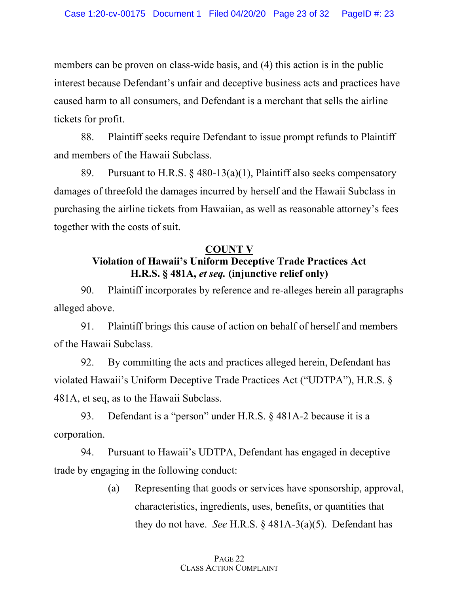members can be proven on class-wide basis, and (4) this action is in the public interest because Defendant's unfair and deceptive business acts and practices have caused harm to all consumers, and Defendant is a merchant that sells the airline tickets for profit.

88. Plaintiff seeks require Defendant to issue prompt refunds to Plaintiff and members of the Hawaii Subclass.

89. Pursuant to H.R.S.  $\S$  480-13(a)(1), Plaintiff also seeks compensatory damages of threefold the damages incurred by herself and the Hawaii Subclass in purchasing the airline tickets from Hawaiian, as well as reasonable attorney's fees together with the costs of suit.

### **COUNT V**

# **Violation of Hawaii's Uniform Deceptive Trade Practices Act H.R.S. § 481A,** *et seq.* **(injunctive relief only)**

90. Plaintiff incorporates by reference and re-alleges herein all paragraphs alleged above.

91. Plaintiff brings this cause of action on behalf of herself and members of the Hawaii Subclass.

92. By committing the acts and practices alleged herein, Defendant has violated Hawaii's Uniform Deceptive Trade Practices Act ("UDTPA"), H.R.S. § 481A, et seq, as to the Hawaii Subclass.

93. Defendant is a "person" under H.R.S. § 481A-2 because it is a corporation.

94. Pursuant to Hawaii's UDTPA, Defendant has engaged in deceptive trade by engaging in the following conduct:

> (a) Representing that goods or services have sponsorship, approval, characteristics, ingredients, uses, benefits, or quantities that they do not have. *See* H.R.S. § 481A-3(a)(5). Defendant has

### PAGE 22 CLASS ACTION COMPLAINT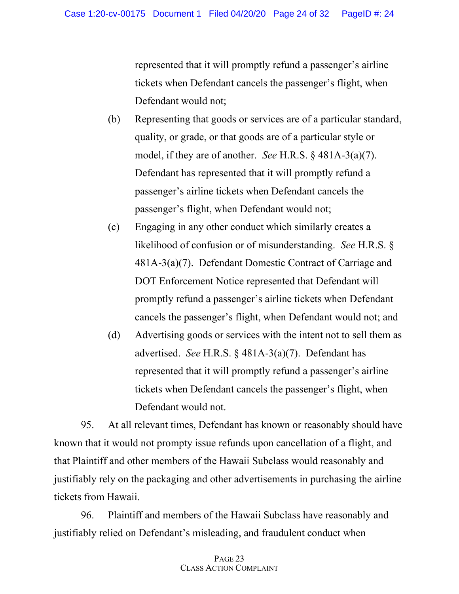represented that it will promptly refund a passenger's airline tickets when Defendant cancels the passenger's flight, when Defendant would not;

- (b) Representing that goods or services are of a particular standard, quality, or grade, or that goods are of a particular style or model, if they are of another. *See* H.R.S. § 481A-3(a)(7). Defendant has represented that it will promptly refund a passenger's airline tickets when Defendant cancels the passenger's flight, when Defendant would not;
- (c) Engaging in any other conduct which similarly creates a likelihood of confusion or of misunderstanding. *See* H.R.S. § 481A-3(a)(7). Defendant Domestic Contract of Carriage and DOT Enforcement Notice represented that Defendant will promptly refund a passenger's airline tickets when Defendant cancels the passenger's flight, when Defendant would not; and
- (d) Advertising goods or services with the intent not to sell them as advertised. *See* H.R.S. § 481A-3(a)(7). Defendant has represented that it will promptly refund a passenger's airline tickets when Defendant cancels the passenger's flight, when Defendant would not.

95. At all relevant times, Defendant has known or reasonably should have known that it would not prompty issue refunds upon cancellation of a flight, and that Plaintiff and other members of the Hawaii Subclass would reasonably and justifiably rely on the packaging and other advertisements in purchasing the airline tickets from Hawaii.

96. Plaintiff and members of the Hawaii Subclass have reasonably and justifiably relied on Defendant's misleading, and fraudulent conduct when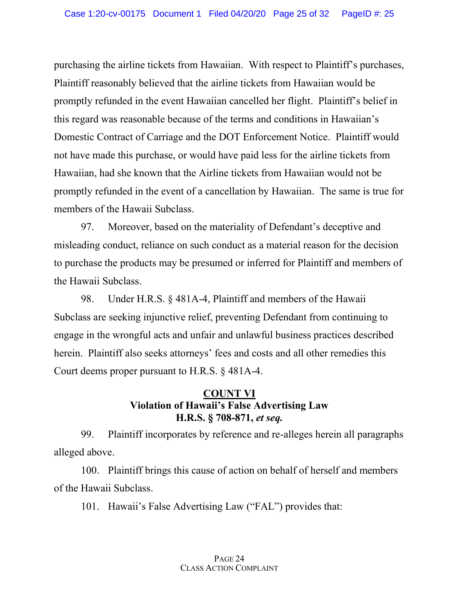purchasing the airline tickets from Hawaiian. With respect to Plaintiff's purchases, Plaintiff reasonably believed that the airline tickets from Hawaiian would be promptly refunded in the event Hawaiian cancelled her flight. Plaintiff's belief in this regard was reasonable because of the terms and conditions in Hawaiian's Domestic Contract of Carriage and the DOT Enforcement Notice. Plaintiff would not have made this purchase, or would have paid less for the airline tickets from Hawaiian, had she known that the Airline tickets from Hawaiian would not be promptly refunded in the event of a cancellation by Hawaiian. The same is true for members of the Hawaii Subclass.

97. Moreover, based on the materiality of Defendant's deceptive and misleading conduct, reliance on such conduct as a material reason for the decision to purchase the products may be presumed or inferred for Plaintiff and members of the Hawaii Subclass.

98. Under H.R.S. § 481A-4, Plaintiff and members of the Hawaii Subclass are seeking injunctive relief, preventing Defendant from continuing to engage in the wrongful acts and unfair and unlawful business practices described herein. Plaintiff also seeks attorneys' fees and costs and all other remedies this Court deems proper pursuant to H.R.S. § 481A-4.

# **COUNT VI Violation of Hawaii's False Advertising Law H.R.S. § 708-871,** *et seq.*

99. Plaintiff incorporates by reference and re-alleges herein all paragraphs alleged above.

100. Plaintiff brings this cause of action on behalf of herself and members of the Hawaii Subclass.

101. Hawaii's False Advertising Law ("FAL") provides that:

### PAGE 24 CLASS ACTION COMPLAINT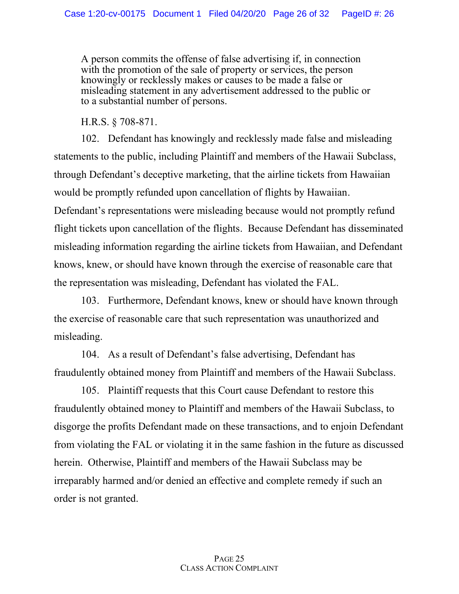A person commits the offense of false advertising if, in connection with the promotion of the sale of property or services, the person knowingly or recklessly makes or causes to be made a false or misleading statement in any advertisement addressed to the public or to a substantial number of persons.

H.R.S. § 708-871.

102. Defendant has knowingly and recklessly made false and misleading statements to the public, including Plaintiff and members of the Hawaii Subclass, through Defendant's deceptive marketing, that the airline tickets from Hawaiian would be promptly refunded upon cancellation of flights by Hawaiian. Defendant's representations were misleading because would not promptly refund flight tickets upon cancellation of the flights. Because Defendant has disseminated misleading information regarding the airline tickets from Hawaiian, and Defendant knows, knew, or should have known through the exercise of reasonable care that

the representation was misleading, Defendant has violated the FAL.

103. Furthermore, Defendant knows, knew or should have known through the exercise of reasonable care that such representation was unauthorized and misleading.

104. As a result of Defendant's false advertising, Defendant has fraudulently obtained money from Plaintiff and members of the Hawaii Subclass.

105. Plaintiff requests that this Court cause Defendant to restore this fraudulently obtained money to Plaintiff and members of the Hawaii Subclass, to disgorge the profits Defendant made on these transactions, and to enjoin Defendant from violating the FAL or violating it in the same fashion in the future as discussed herein. Otherwise, Plaintiff and members of the Hawaii Subclass may be irreparably harmed and/or denied an effective and complete remedy if such an order is not granted.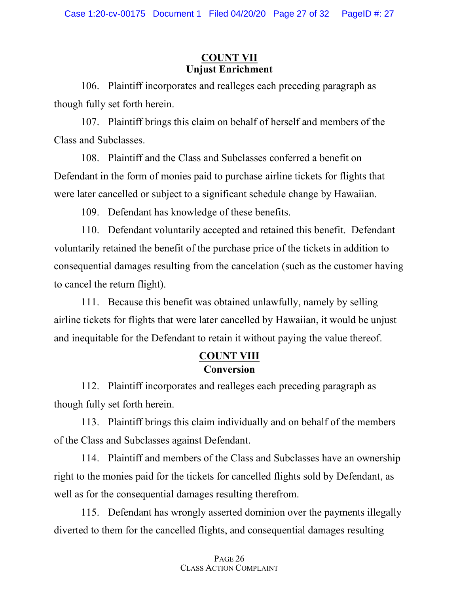# **COUNT VII Unjust Enrichment**

106. Plaintiff incorporates and realleges each preceding paragraph as though fully set forth herein.

107. Plaintiff brings this claim on behalf of herself and members of the Class and Subclasses.

108. Plaintiff and the Class and Subclasses conferred a benefit on Defendant in the form of monies paid to purchase airline tickets for flights that were later cancelled or subject to a significant schedule change by Hawaiian.

109. Defendant has knowledge of these benefits.

110. Defendant voluntarily accepted and retained this benefit. Defendant voluntarily retained the benefit of the purchase price of the tickets in addition to consequential damages resulting from the cancelation (such as the customer having to cancel the return flight).

111. Because this benefit was obtained unlawfully, namely by selling airline tickets for flights that were later cancelled by Hawaiian, it would be unjust and inequitable for the Defendant to retain it without paying the value thereof.

# **COUNT VIII Conversion**

112. Plaintiff incorporates and realleges each preceding paragraph as though fully set forth herein.

113. Plaintiff brings this claim individually and on behalf of the members of the Class and Subclasses against Defendant.

114. Plaintiff and members of the Class and Subclasses have an ownership right to the monies paid for the tickets for cancelled flights sold by Defendant, as well as for the consequential damages resulting therefrom.

115. Defendant has wrongly asserted dominion over the payments illegally diverted to them for the cancelled flights, and consequential damages resulting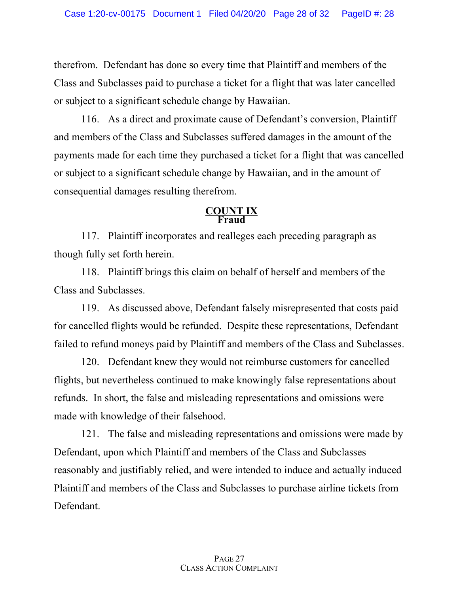therefrom. Defendant has done so every time that Plaintiff and members of the Class and Subclasses paid to purchase a ticket for a flight that was later cancelled or subject to a significant schedule change by Hawaiian.

116. As a direct and proximate cause of Defendant's conversion, Plaintiff and members of the Class and Subclasses suffered damages in the amount of the payments made for each time they purchased a ticket for a flight that was cancelled or subject to a significant schedule change by Hawaiian, and in the amount of consequential damages resulting therefrom.

### **COUNT IX Fraud**

117. Plaintiff incorporates and realleges each preceding paragraph as though fully set forth herein.

118. Plaintiff brings this claim on behalf of herself and members of the Class and Subclasses.

119. As discussed above, Defendant falsely misrepresented that costs paid for cancelled flights would be refunded. Despite these representations, Defendant failed to refund moneys paid by Plaintiff and members of the Class and Subclasses.

120. Defendant knew they would not reimburse customers for cancelled flights, but nevertheless continued to make knowingly false representations about refunds. In short, the false and misleading representations and omissions were made with knowledge of their falsehood.

121. The false and misleading representations and omissions were made by Defendant, upon which Plaintiff and members of the Class and Subclasses reasonably and justifiably relied, and were intended to induce and actually induced Plaintiff and members of the Class and Subclasses to purchase airline tickets from Defendant.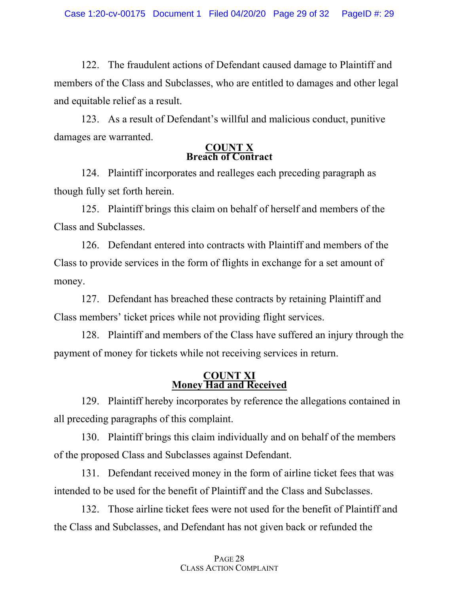122. The fraudulent actions of Defendant caused damage to Plaintiff and members of the Class and Subclasses, who are entitled to damages and other legal and equitable relief as a result.

123. As a result of Defendant's willful and malicious conduct, punitive damages are warranted.

### **COUNT X Breach of Contract**

124. Plaintiff incorporates and realleges each preceding paragraph as though fully set forth herein.

125. Plaintiff brings this claim on behalf of herself and members of the Class and Subclasses.

126. Defendant entered into contracts with Plaintiff and members of the Class to provide services in the form of flights in exchange for a set amount of money.

127. Defendant has breached these contracts by retaining Plaintiff and Class members' ticket prices while not providing flight services.

128. Plaintiff and members of the Class have suffered an injury through the payment of money for tickets while not receiving services in return.

### **COUNT XI Money Had and Received**

129. Plaintiff hereby incorporates by reference the allegations contained in all preceding paragraphs of this complaint.

130. Plaintiff brings this claim individually and on behalf of the members of the proposed Class and Subclasses against Defendant.

131. Defendant received money in the form of airline ticket fees that was intended to be used for the benefit of Plaintiff and the Class and Subclasses.

132. Those airline ticket fees were not used for the benefit of Plaintiff and the Class and Subclasses, and Defendant has not given back or refunded the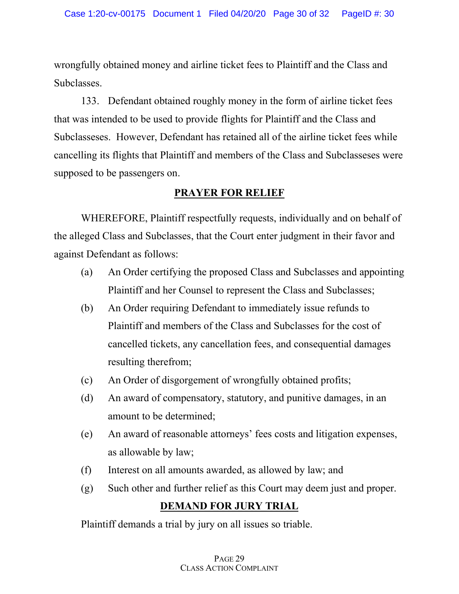wrongfully obtained money and airline ticket fees to Plaintiff and the Class and Subclasses.

133. Defendant obtained roughly money in the form of airline ticket fees that was intended to be used to provide flights for Plaintiff and the Class and Subclasseses. However, Defendant has retained all of the airline ticket fees while cancelling its flights that Plaintiff and members of the Class and Subclasseses were supposed to be passengers on.

# **PRAYER FOR RELIEF**

WHEREFORE, Plaintiff respectfully requests, individually and on behalf of the alleged Class and Subclasses, that the Court enter judgment in their favor and against Defendant as follows:

- (a) An Order certifying the proposed Class and Subclasses and appointing Plaintiff and her Counsel to represent the Class and Subclasses;
- (b) An Order requiring Defendant to immediately issue refunds to Plaintiff and members of the Class and Subclasses for the cost of cancelled tickets, any cancellation fees, and consequential damages resulting therefrom;
- (c) An Order of disgorgement of wrongfully obtained profits;
- (d) An award of compensatory, statutory, and punitive damages, in an amount to be determined;
- (e) An award of reasonable attorneys' fees costs and litigation expenses, as allowable by law;
- (f) Interest on all amounts awarded, as allowed by law; and
- (g) Such other and further relief as this Court may deem just and proper.

# **DEMAND FOR JURY TRIAL**

Plaintiff demands a trial by jury on all issues so triable.